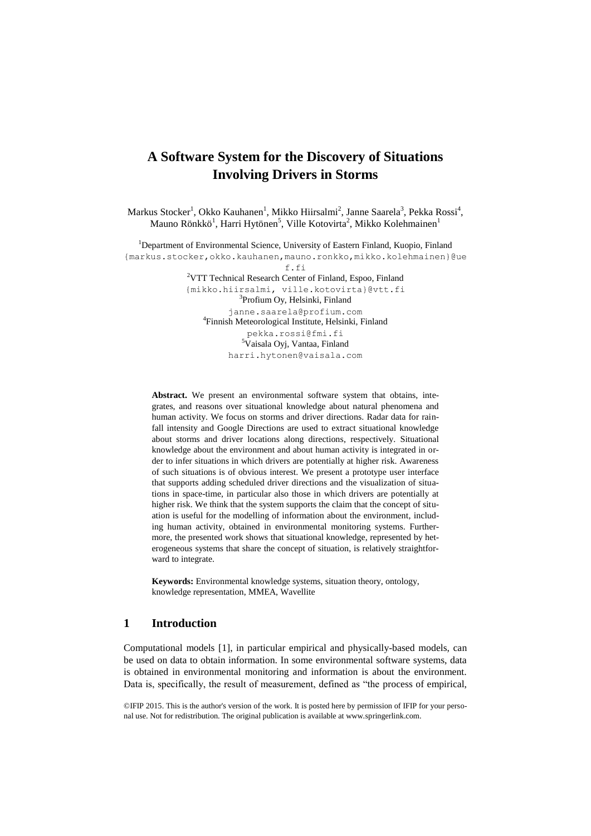# **A Software System for the Discovery of Situations Involving Drivers in Storms**

Markus Stocker<sup>1</sup>, Okko Kauhanen<sup>1</sup>, Mikko Hiirsalmi<sup>2</sup>, Janne Saarela<sup>3</sup>, Pekka Rossi<sup>4</sup>, Mauno Rönkkö<sup>1</sup>, Harri Hytönen<sup>5</sup>, Ville Kotovirta<sup>2</sup>, Mikko Kolehmainen<sup>1</sup>

<sup>1</sup>Department of Environmental Science, University of Eastern Finland, Kuopio, Finland {markus.stocker,okko.kauhanen,mauno.ronkko,mikko.kolehmainen}@ue f.fi

<sup>2</sup>VTT Technical Research Center of Finland, Espoo, Finland {mikko.hiirsalmi, ville.kotovirta}@vtt.fi 3 Profium Oy, Helsinki, Finland janne.saarela@profium.com 4 Finnish Meteorological Institute, Helsinki, Finland pekka.rossi@fmi.fi <sup>5</sup>Vaisala Oyj, Vantaa, Finland harri.hytonen@vaisala.com

**Abstract.** We present an environmental software system that obtains, integrates, and reasons over situational knowledge about natural phenomena and human activity. We focus on storms and driver directions. Radar data for rainfall intensity and Google Directions are used to extract situational knowledge about storms and driver locations along directions, respectively. Situational knowledge about the environment and about human activity is integrated in order to infer situations in which drivers are potentially at higher risk. Awareness of such situations is of obvious interest. We present a prototype user interface that supports adding scheduled driver directions and the visualization of situations in space-time, in particular also those in which drivers are potentially at higher risk. We think that the system supports the claim that the concept of situation is useful for the modelling of information about the environment, including human activity, obtained in environmental monitoring systems. Furthermore, the presented work shows that situational knowledge, represented by heterogeneous systems that share the concept of situation, is relatively straightforward to integrate.

**Keywords:** Environmental knowledge systems, situation theory, ontology, knowledge representation, MMEA, Wavellite

## **1 Introduction**

Computational models [1], in particular empirical and physically-based models, can be used on data to obtain information. In some environmental software systems, data is obtained in environmental monitoring and information is about the environment. Data is, specifically, the result of measurement, defined as "the process of empirical,

©IFIP 2015. This is the author's version of the work. It is posted here by permission of IFIP for your personal use. Not for redistribution. The original publication is available at www.springerlink.com.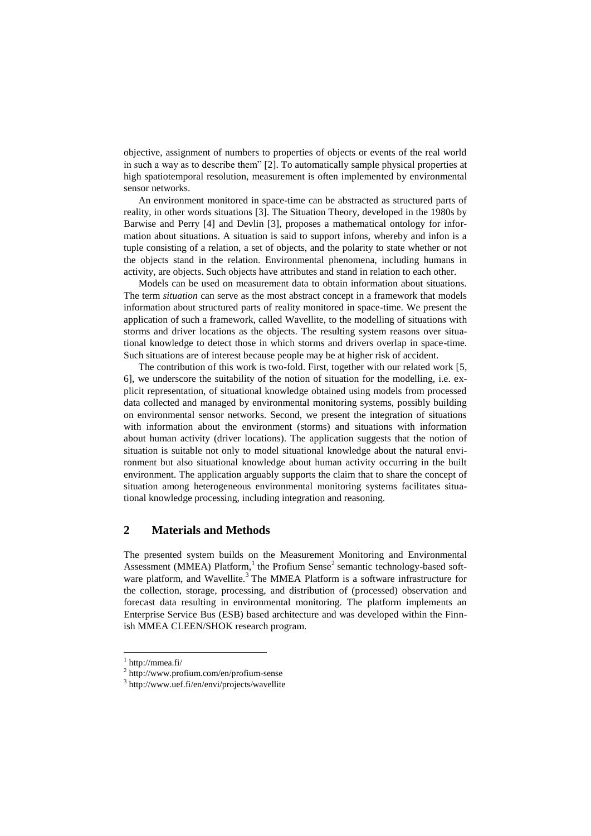objective, assignment of numbers to properties of objects or events of the real world in such a way as to describe them" [2]. To automatically sample physical properties at high spatiotemporal resolution, measurement is often implemented by environmental sensor networks.

An environment monitored in space-time can be abstracted as structured parts of reality, in other words situations [3]. The Situation Theory, developed in the 1980s by Barwise and Perry [4] and Devlin [3], proposes a mathematical ontology for information about situations. A situation is said to support infons, whereby and infon is a tuple consisting of a relation, a set of objects, and the polarity to state whether or not the objects stand in the relation. Environmental phenomena, including humans in activity, are objects. Such objects have attributes and stand in relation to each other.

Models can be used on measurement data to obtain information about situations. The term *situation* can serve as the most abstract concept in a framework that models information about structured parts of reality monitored in space-time. We present the application of such a framework, called Wavellite, to the modelling of situations with storms and driver locations as the objects. The resulting system reasons over situational knowledge to detect those in which storms and drivers overlap in space-time. Such situations are of interest because people may be at higher risk of accident.

The contribution of this work is two-fold. First, together with our related work [5, 6], we underscore the suitability of the notion of situation for the modelling, i.e. explicit representation, of situational knowledge obtained using models from processed data collected and managed by environmental monitoring systems, possibly building on environmental sensor networks. Second, we present the integration of situations with information about the environment (storms) and situations with information about human activity (driver locations). The application suggests that the notion of situation is suitable not only to model situational knowledge about the natural environment but also situational knowledge about human activity occurring in the built environment. The application arguably supports the claim that to share the concept of situation among heterogeneous environmental monitoring systems facilitates situational knowledge processing, including integration and reasoning.

# **2 Materials and Methods**

The presented system builds on the Measurement Monitoring and Environmental Assessment (MMEA) Platform,<sup>1</sup> the Profium Sense<sup>2</sup> semantic technology-based software platform, and Wavellite.<sup>3</sup> The MMEA Platform is a software infrastructure for the collection, storage, processing, and distribution of (processed) observation and forecast data resulting in environmental monitoring. The platform implements an Enterprise Service Bus (ESB) based architecture and was developed within the Finnish MMEA CLEEN/SHOK research program.

l

<sup>1</sup> http://mmea.fi/

<sup>2</sup> http://www.profium.com/en/profium-sense

<sup>3</sup> http://www.uef.fi/en/envi/projects/wavellite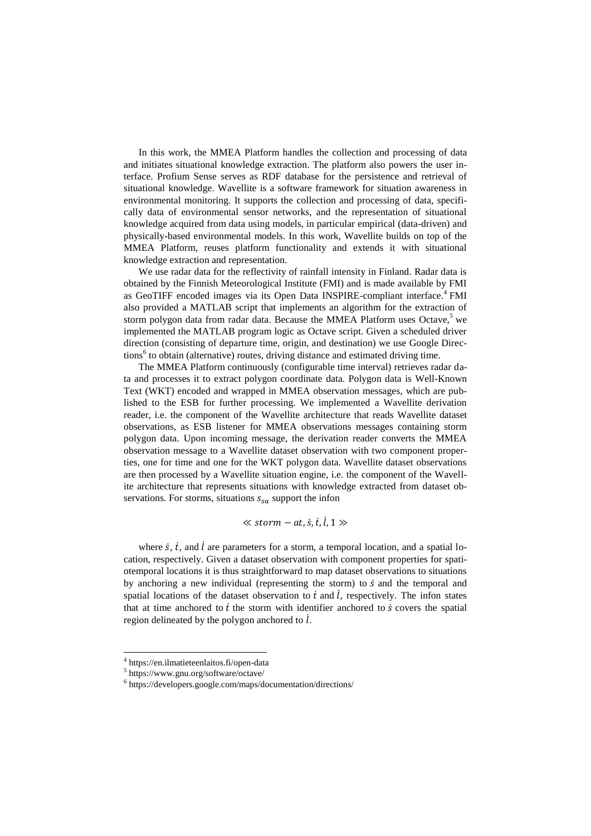In this work, the MMEA Platform handles the collection and processing of data and initiates situational knowledge extraction. The platform also powers the user interface. Profium Sense serves as RDF database for the persistence and retrieval of situational knowledge. Wavellite is a software framework for situation awareness in environmental monitoring. It supports the collection and processing of data, specifically data of environmental sensor networks, and the representation of situational knowledge acquired from data using models, in particular empirical (data-driven) and physically-based environmental models. In this work, Wavellite builds on top of the MMEA Platform, reuses platform functionality and extends it with situational knowledge extraction and representation.

We use radar data for the reflectivity of rainfall intensity in Finland. Radar data is obtained by the Finnish Meteorological Institute (FMI) and is made available by FMI as GeoTIFF encoded images via its Open Data INSPIRE-compliant interface.<sup>4</sup> FMI also provided a MATLAB script that implements an algorithm for the extraction of storm polygon data from radar data. Because the MMEA Platform uses Octave, $5$  we implemented the MATLAB program logic as Octave script. Given a scheduled driver direction (consisting of departure time, origin, and destination) we use Google Directions<sup>6</sup> to obtain (alternative) routes, driving distance and estimated driving time.

The MMEA Platform continuously (configurable time interval) retrieves radar data and processes it to extract polygon coordinate data. Polygon data is Well-Known Text (WKT) encoded and wrapped in MMEA observation messages, which are published to the ESB for further processing. We implemented a Wavellite derivation reader, i.e. the component of the Wavellite architecture that reads Wavellite dataset observations, as ESB listener for MMEA observations messages containing storm polygon data. Upon incoming message, the derivation reader converts the MMEA observation message to a Wavellite dataset observation with two component properties, one for time and one for the WKT polygon data. Wavellite dataset observations are then processed by a Wavellite situation engine, i.e. the component of the Wavellite architecture that represents situations with knowledge extracted from dataset observations. For storms, situations  $s_{sa}$  support the infon

$$
\ll storm-at,s,t,l,1 \gg
$$

where  $\dot{s}$ ,  $\dot{t}$ , and  $\dot{l}$  are parameters for a storm, a temporal location, and a spatial location, respectively. Given a dataset observation with component properties for spatiotemporal locations it is thus straightforward to map dataset observations to situations by anchoring a new individual (representing the storm) to  $\dot{s}$  and the temporal and spatial locations of the dataset observation to  $\dot{t}$  and  $\dot{l}$ , respectively. The infon states j that at time anchored to  $\dot{t}$  the storm with identifier anchored to  $\dot{s}$  covers the spatial region delineated by the polygon anchored to  $l$ . j

l

<sup>4</sup> https://en.ilmatieteenlaitos.fi/open-data

<sup>5</sup> https://www.gnu.org/software/octave/

<sup>6</sup> https://developers.google.com/maps/documentation/directions/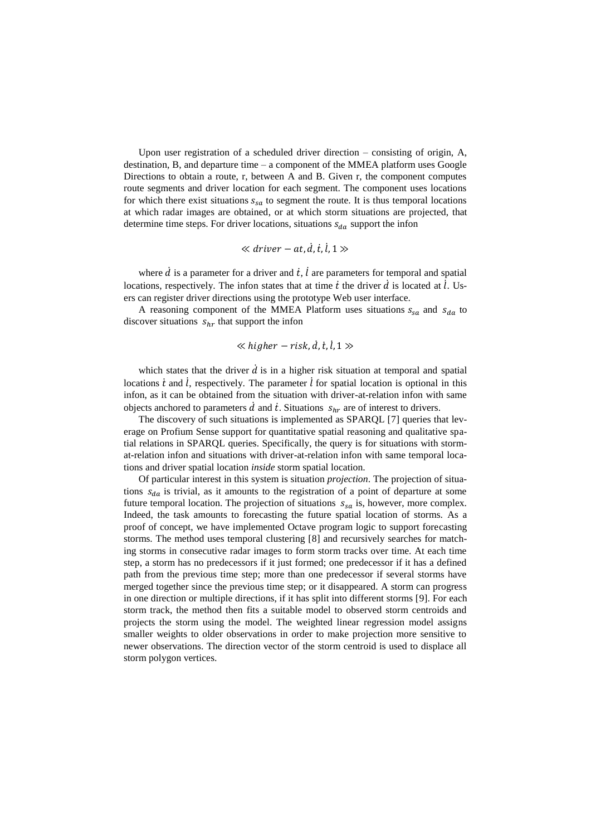Upon user registration of a scheduled driver direction – consisting of origin, A, destination, B, and departure time – a component of the MMEA platform uses Google Directions to obtain a route, r, between A and B. Given r, the component computes route segments and driver location for each segment. The component uses locations for which there exist situations  $s_{sa}$  to segment the route. It is thus temporal locations at which radar images are obtained, or at which storm situations are projected, that determine time steps. For driver locations, situations  $s_{da}$  support the infon

$$
\ll
$$
 driver – at,  $\dot{d}$ ,  $\dot{t}$ ,  $\dot{l}$ , 1  $\gg$ 

where  $\dot{d}$  is a parameter for a driver and  $\dot{t}$ ,  $\dot{l}$  are parameters for temporal and spatial locations, respectively. The infon states that at time  $t$  the driver  $d$  is located at  $l$ . Users can register driver directions using the prototype Web user interface.

A reasoning component of the MMEA Platform uses situations  $s_{sa}$  and  $s_{da}$  to discover situations  $s_{hr}$  that support the infon

$$
\ll
$$
 higher  $-$  risk,  $\dot{d}$ ,  $\dot{t}$ ,  $\dot{l}$ ,  $1 \gg$ 

which states that the driver  $\vec{d}$  is in a higher risk situation at temporal and spatial locations  $\dot{t}$  and  $\dot{l}$ , respectively. The parameter  $\dot{l}$  for spatial location is optional in this j infon, as it can be obtained from the situation with driver-at-relation infon with same objects anchored to parameters  $\dot{d}$  and  $\dot{t}$ . Situations  $s_{hr}$  are of interest to drivers.

The discovery of such situations is implemented as SPARQL [7] queries that leverage on Profium Sense support for quantitative spatial reasoning and qualitative spatial relations in SPARQL queries. Specifically, the query is for situations with stormat-relation infon and situations with driver-at-relation infon with same temporal locations and driver spatial location *inside* storm spatial location.

Of particular interest in this system is situation *projection*. The projection of situations  $s_{da}$  is trivial, as it amounts to the registration of a point of departure at some future temporal location. The projection of situations  $s_{sa}$  is, however, more complex. Indeed, the task amounts to forecasting the future spatial location of storms. As a proof of concept, we have implemented Octave program logic to support forecasting storms. The method uses temporal clustering [8] and recursively searches for matching storms in consecutive radar images to form storm tracks over time. At each time step, a storm has no predecessors if it just formed; one predecessor if it has a defined path from the previous time step; more than one predecessor if several storms have merged together since the previous time step; or it disappeared. A storm can progress in one direction or multiple directions, if it has split into different storms [9]. For each storm track, the method then fits a suitable model to observed storm centroids and projects the storm using the model. The weighted linear regression model assigns smaller weights to older observations in order to make projection more sensitive to newer observations. The direction vector of the storm centroid is used to displace all storm polygon vertices.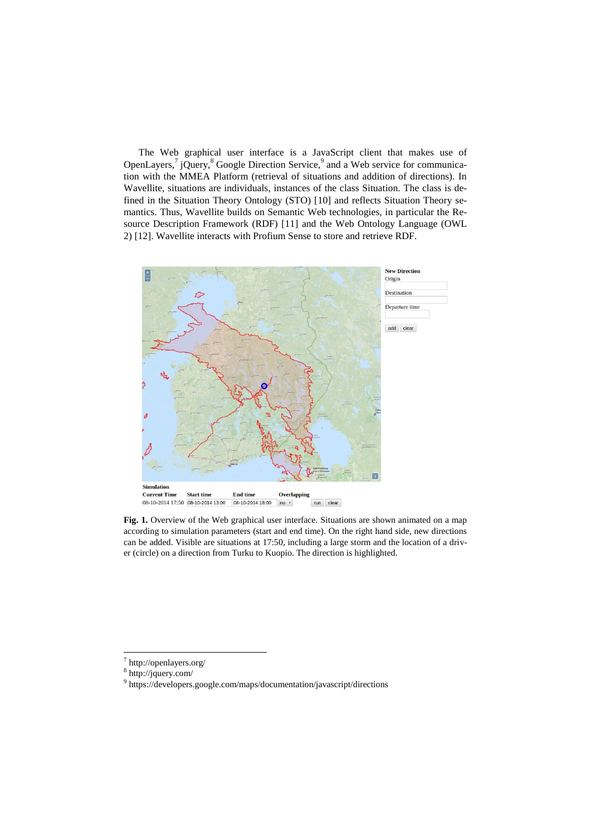The Web graphical user interface is a JavaScript client that makes use of OpenLayers,<sup>7</sup> jQuery,<sup>8</sup> Google Direction Service,<sup>9</sup> and a Web service for communication with the MMEA Platform (retrieval of situations and addition of directions). In Wavellite, situations are individuals, instances of the class Situation. The class is defined in the Situation Theory Ontology (STO) [10] and reflects Situation Theory semantics. Thus, Wavellite builds on Semantic Web technologies, in particular the Resource Description Framework (RDF) [11] and the Web Ontology Language (OWL 2) [12]. Wavellite interacts with Profium Sense to store and retrieve RDF.



**Fig. 1.** Overview of the Web graphical user interface. Situations are shown animated on a map according to simulation parameters (start and end time). On the right hand side, new directions can be added. Visible are situations at 17:50, including a large storm and the location of a driver (circle) on a direction from Turku to Kuopio. The direction is highlighted.

l

<sup>7</sup> http://openlayers.org/

<sup>&</sup>lt;sup>8</sup> http://jquery.com/

<sup>9</sup> https://developers.google.com/maps/documentation/javascript/directions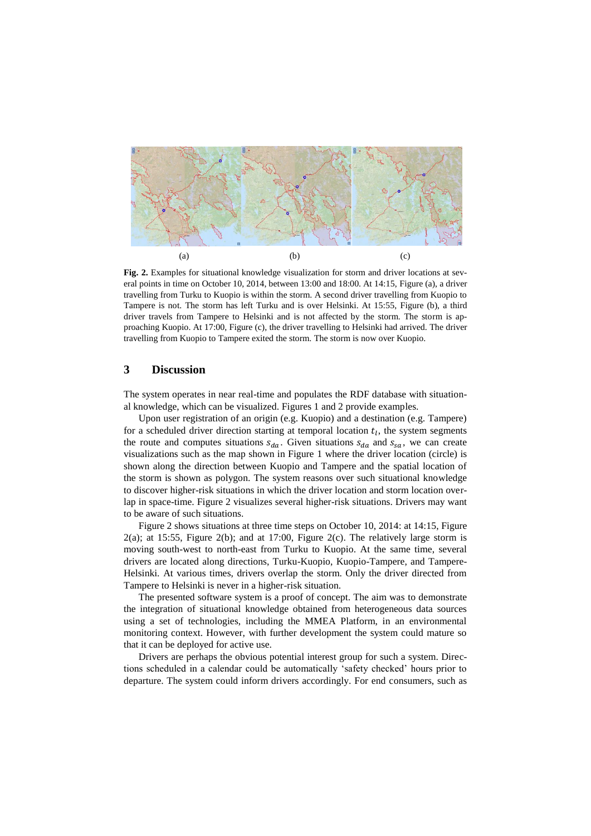

**Fig. 2.** Examples for situational knowledge visualization for storm and driver locations at several points in time on October 10, 2014, between 13:00 and 18:00. At 14:15, Figure (a), a driver travelling from Turku to Kuopio is within the storm. A second driver travelling from Kuopio to Tampere is not. The storm has left Turku and is over Helsinki. At 15:55, Figure (b), a third driver travels from Tampere to Helsinki and is not affected by the storm. The storm is approaching Kuopio. At 17:00, Figure (c), the driver travelling to Helsinki had arrived. The driver travelling from Kuopio to Tampere exited the storm. The storm is now over Kuopio.

#### **3 Discussion**

The system operates in near real-time and populates the RDF database with situational knowledge, which can be visualized. Figures 1 and 2 provide examples.

Upon user registration of an origin (e.g. Kuopio) and a destination (e.g. Tampere) for a scheduled driver direction starting at temporal location  $t_l$ , the system segments the route and computes situations  $s_{da}$ . Given situations  $s_{da}$  and  $s_{sa}$ , we can create visualizations such as the map shown in Figure 1 where the driver location (circle) is shown along the direction between Kuopio and Tampere and the spatial location of the storm is shown as polygon. The system reasons over such situational knowledge to discover higher-risk situations in which the driver location and storm location overlap in space-time. Figure 2 visualizes several higher-risk situations. Drivers may want to be aware of such situations.

Figure 2 shows situations at three time steps on October 10, 2014: at 14:15, Figure  $2(a)$ ; at 15:55, Figure  $2(b)$ ; and at 17:00, Figure  $2(c)$ . The relatively large storm is moving south-west to north-east from Turku to Kuopio. At the same time, several drivers are located along directions, Turku-Kuopio, Kuopio-Tampere, and Tampere-Helsinki. At various times, drivers overlap the storm. Only the driver directed from Tampere to Helsinki is never in a higher-risk situation.

The presented software system is a proof of concept. The aim was to demonstrate the integration of situational knowledge obtained from heterogeneous data sources using a set of technologies, including the MMEA Platform, in an environmental monitoring context. However, with further development the system could mature so that it can be deployed for active use.

Drivers are perhaps the obvious potential interest group for such a system. Directions scheduled in a calendar could be automatically 'safety checked' hours prior to departure. The system could inform drivers accordingly. For end consumers, such as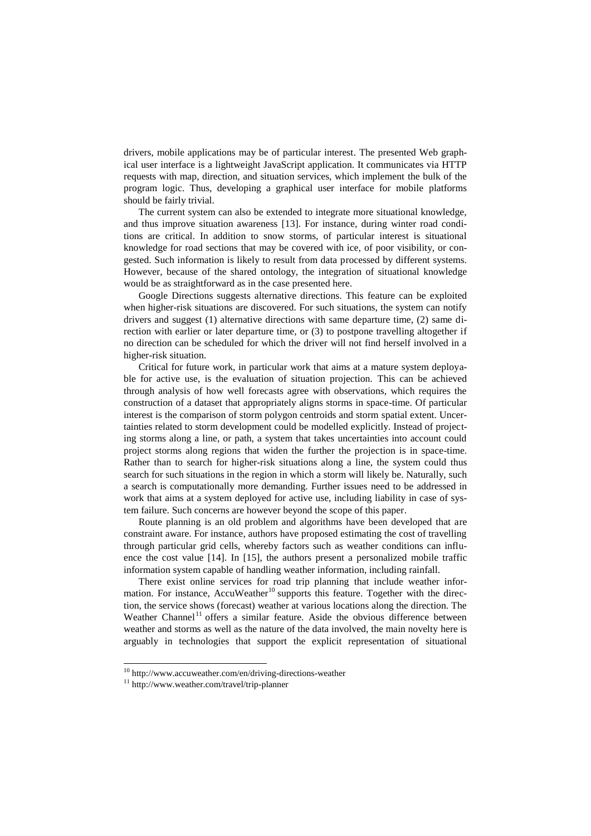drivers, mobile applications may be of particular interest. The presented Web graphical user interface is a lightweight JavaScript application. It communicates via HTTP requests with map, direction, and situation services, which implement the bulk of the program logic. Thus, developing a graphical user interface for mobile platforms should be fairly trivial.

The current system can also be extended to integrate more situational knowledge, and thus improve situation awareness [13]. For instance, during winter road conditions are critical. In addition to snow storms, of particular interest is situational knowledge for road sections that may be covered with ice, of poor visibility, or congested. Such information is likely to result from data processed by different systems. However, because of the shared ontology, the integration of situational knowledge would be as straightforward as in the case presented here.

Google Directions suggests alternative directions. This feature can be exploited when higher-risk situations are discovered. For such situations, the system can notify drivers and suggest (1) alternative directions with same departure time, (2) same direction with earlier or later departure time, or (3) to postpone travelling altogether if no direction can be scheduled for which the driver will not find herself involved in a higher-risk situation.

Critical for future work, in particular work that aims at a mature system deployable for active use, is the evaluation of situation projection. This can be achieved through analysis of how well forecasts agree with observations, which requires the construction of a dataset that appropriately aligns storms in space-time. Of particular interest is the comparison of storm polygon centroids and storm spatial extent. Uncertainties related to storm development could be modelled explicitly. Instead of projecting storms along a line, or path, a system that takes uncertainties into account could project storms along regions that widen the further the projection is in space-time. Rather than to search for higher-risk situations along a line, the system could thus search for such situations in the region in which a storm will likely be. Naturally, such a search is computationally more demanding. Further issues need to be addressed in work that aims at a system deployed for active use, including liability in case of system failure. Such concerns are however beyond the scope of this paper.

Route planning is an old problem and algorithms have been developed that are constraint aware. For instance, authors have proposed estimating the cost of travelling through particular grid cells, whereby factors such as weather conditions can influence the cost value [14]. In [15], the authors present a personalized mobile traffic information system capable of handling weather information, including rainfall.

There exist online services for road trip planning that include weather information. For instance, AccuWeather<sup>10</sup> supports this feature. Together with the direction, the service shows (forecast) weather at various locations along the direction. The Weather Channel<sup>11</sup> offers a similar feature. Aside the obvious difference between weather and storms as well as the nature of the data involved, the main novelty here is arguably in technologies that support the explicit representation of situational

 $\overline{\phantom{a}}$ 

<sup>10</sup> http://www.accuweather.com/en/driving-directions-weather

<sup>11</sup> http://www.weather.com/travel/trip-planner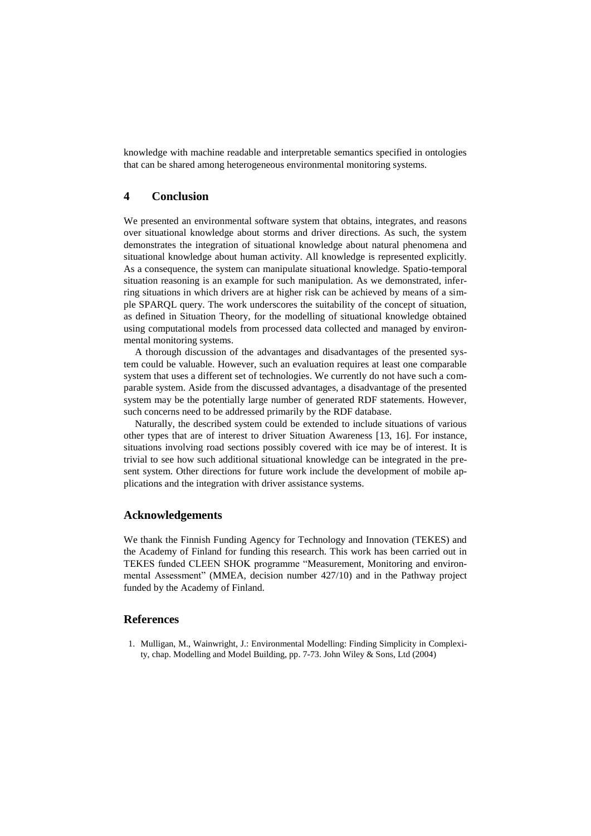knowledge with machine readable and interpretable semantics specified in ontologies that can be shared among heterogeneous environmental monitoring systems.

### **4 Conclusion**

We presented an environmental software system that obtains, integrates, and reasons over situational knowledge about storms and driver directions. As such, the system demonstrates the integration of situational knowledge about natural phenomena and situational knowledge about human activity. All knowledge is represented explicitly. As a consequence, the system can manipulate situational knowledge. Spatio-temporal situation reasoning is an example for such manipulation. As we demonstrated, inferring situations in which drivers are at higher risk can be achieved by means of a simple SPARQL query. The work underscores the suitability of the concept of situation, as defined in Situation Theory, for the modelling of situational knowledge obtained using computational models from processed data collected and managed by environmental monitoring systems.

A thorough discussion of the advantages and disadvantages of the presented system could be valuable. However, such an evaluation requires at least one comparable system that uses a different set of technologies. We currently do not have such a comparable system. Aside from the discussed advantages, a disadvantage of the presented system may be the potentially large number of generated RDF statements. However, such concerns need to be addressed primarily by the RDF database.

Naturally, the described system could be extended to include situations of various other types that are of interest to driver Situation Awareness [13, 16]. For instance, situations involving road sections possibly covered with ice may be of interest. It is trivial to see how such additional situational knowledge can be integrated in the present system. Other directions for future work include the development of mobile applications and the integration with driver assistance systems.

#### **Acknowledgements**

We thank the Finnish Funding Agency for Technology and Innovation (TEKES) and the Academy of Finland for funding this research. This work has been carried out in TEKES funded CLEEN SHOK programme "Measurement, Monitoring and environmental Assessment" (MMEA, decision number 427/10) and in the Pathway project funded by the Academy of Finland.

#### **References**

1. Mulligan, M., Wainwright, J.: Environmental Modelling: Finding Simplicity in Complexity, chap. Modelling and Model Building, pp. 7-73. John Wiley & Sons, Ltd (2004)